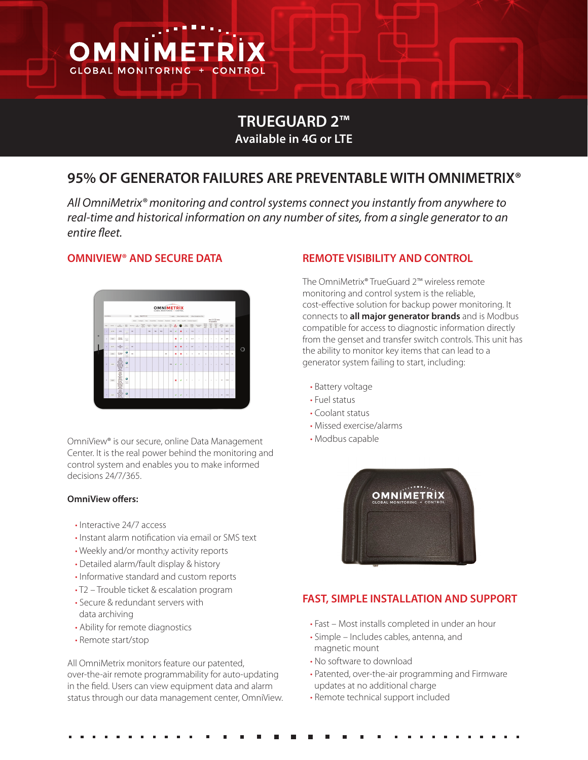

# **TRUEGUARD 2™ Available in 4G or LTE**

# **95% OF GENERATOR FAILURES ARE PREVENTABLE WITH OMNIMETRIX®**

*All OmniMetrix® monitoring and control systems connect you instantly from anywhere to real-time and historical information on any number of sites, from a single generator to an entire fleet.*

#### **OMNIVIEW® AND SECURE DATA**



OmniView® is our secure, online Data Management Center. It is the real power behind the monitoring and control system and enables you to make informed decisions 24/7/365.

#### **OmniView offers:**

- Interactive 24/7 access
- Instant alarm notification via email or SMS text
- Weekly and/or month;y activity reports
- Detailed alarm/fault display & history
- Informative standard and custom reports
- T2 Trouble ticket & escalation program
- Secure & redundant servers with data archiving
- Ability for remote diagnostics
- Remote start/stop

All OmniMetrix monitors feature our patented, over-the-air remote programmability for auto-updating in the field. Users can view equipment data and alarm status through our data management center, OmniView.

#### **REMOTE VISIBILITY AND CONTROL**

The OmniMetrix® TrueGuard 2™ wireless remote monitoring and control system is the reliable, cost-effective solution for backup power monitoring. It connects to **all major generator brands** and is Modbus compatible for access to diagnostic information directly from the genset and transfer switch controls. This unit has the ability to monitor key items that can lead to a generator system failing to start, including:

- Battery voltage
- Fuel status
- Coolant status
- Missed exercise/alarms
- Modbus capable



#### **FAST, SIMPLE INSTALLATION AND SUPPORT**

- Fast Most installs completed in under an hour
- Simple Includes cables, antenna, and magnetic mount
- No software to download
- Patented, over-the-air programming and Firmware updates at no additional charge
- Remote technical support included